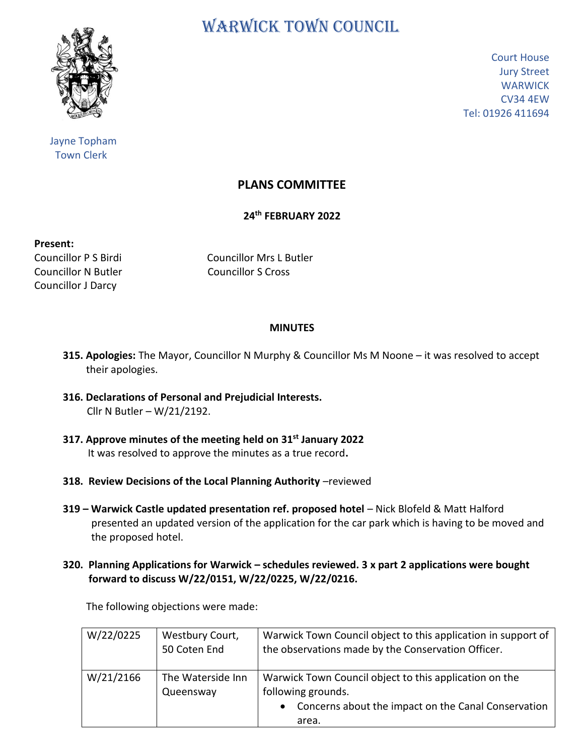

 Jayne Topham Town Clerk

WARWICK TOWN COUNCIL

Court House Jury Street **WARWICK** CV34 4EW Tel: 01926 411694

## **PLANS COMMITTEE**

**24th FEBRUARY 2022**

**Present:**

Councillor N Butler Councillor S Cross Councillor J Darcy

Councillor P S Birdi Councillor Mrs L Butler

## **MINUTES**

- **315. Apologies:** The Mayor, Councillor N Murphy & Councillor Ms M Noone it was resolved to accept their apologies.
- **316. Declarations of Personal and Prejudicial Interests.** Cllr N Butler – W/21/2192.
- **317. Approve minutes of the meeting held on 31st January 2022** It was resolved to approve the minutes as a true record**.**
- **318. Review Decisions of the Local Planning Authority** -reviewed
- **319 – Warwick Castle updated presentation ref. proposed hotel** Nick Blofeld & Matt Halford presented an updated version of the application for the car park which is having to be moved and the proposed hotel.
- **320. Planning Applications for Warwick – schedules reviewed. 3 x part 2 applications were bought forward to discuss W/22/0151, W/22/0225, W/22/0216.**

The following objections were made:

| W/22/0225 | Westbury Court,<br>50 Coten End | Warwick Town Council object to this application in support of<br>the observations made by the Conservation Officer. |
|-----------|---------------------------------|---------------------------------------------------------------------------------------------------------------------|
| W/21/2166 | The Waterside Inn<br>Queensway  | Warwick Town Council object to this application on the<br>following grounds.                                        |
|           |                                 | Concerns about the impact on the Canal Conservation<br>$\bullet$<br>area.                                           |